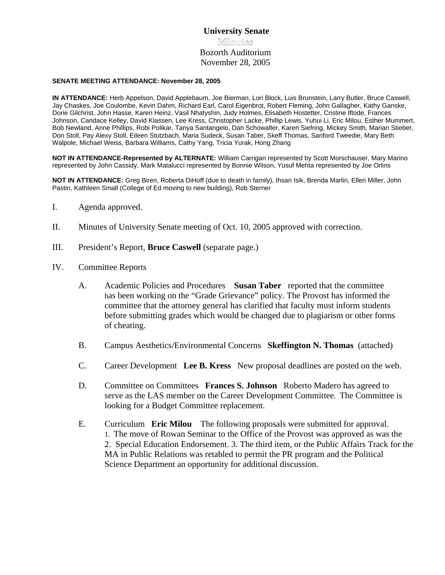# **University Senate Minmuntes** Bozorth Auditorium November 28, 2005

#### **SENATE MEETING ATTENDANCE: November 28, 2005**

**IN ATTENDANCE:** Herb Appelson, David Applebaum, Joe Bierman, Lori Block, Luis Brunstein, Larry Butler, Bruce Caswell, Jay Chaskes, Joe Coulombe, Kevin Dahm, Richard Earl, Carol Eigenbrot, Robert Fleming, John Gallagher, Kathy Ganske, Dorie Gilchrist, John Hasse, Karen Heinz, Vasil Nhatyshin, Judy Holmes, Elisabeth Hostetter, Cristine Iftode, Frances Johnson, Candace Kelley, David Klassen, Lee Kress, Christopher Lacke, Phillip Lewis, Yuhui Li, Eric Milou, Esther Mummert, Bob Newland, Anne Phillips, Robi Polikar, Tanya Santangelo, Dan Schowalter, Karen Siefring, Mickey Smith, Marian Stieber, Don Stoll, Pay Alexy Stoll, Eileen Stutzbach, Maria Sudeck, Susan Taber, Skeff Thomas, Sanford Tweedie, Mary Beth Walpole, Michael Weiss, Barbara Williams, Cathy Yang, Tricia Yurak, Hong Zhang

**NOT IN ATTENDANCE-Represented by ALTERNATE:** William Carrigan represented by Scott Morschauser, Mary Marino represented by John Cassidy, Mark Matalucci represented by Bonnie Wilson, Yusuf Mehta represented by Joe Orlins

**NOT IN ATTENDANCE:** Greg Biren, Roberta DiHoff (due to death in family), Ihsan Isik, Brenda Marlin, Ellen Miller, John Pastin, Kathleen Small (College of Ed moving to new building), Rob Sterner

- I. Agenda approved.
- II. Minutes of University Senate meeting of Oct. 10, 2005 approved with correction.
- III. President's Report, **Bruce Caswell** (separate page.)
- IV. Committee Reports
	- A. Academic Policies and Procedures **Susan Taber** reported that the committee has been working on the "Grade Grievance" policy. The Provost has informed the committee that the attorney general has clarified that faculty must inform students before submitting grades which would be changed due to plagiarism or other forms of cheating.
	- B. Campus Aesthetics/Environmental Concerns **Skeffington N. Thomas** (attached)
	- C. Career Development **Lee B. Kress** New proposal deadlines are posted on the web.
	- D. Committee on Committees **Frances S. Johnson** Roberto Madero has agreed to serve as the LAS member on the Career Development Committee. The Committee is looking for a Budget Committee replacement.
	- E. Curriculum **Eric Milou** The following proposals were submitted for approval. 1. The move of Rowan Seminar to the Office of the Provost was approved as was the 2. Special Education Endorsement. 3. The third item, or the Public Affairs Track for the MA in Public Relations was retabled to permit the PR program and the Political Science Department an opportunity for additional discussion.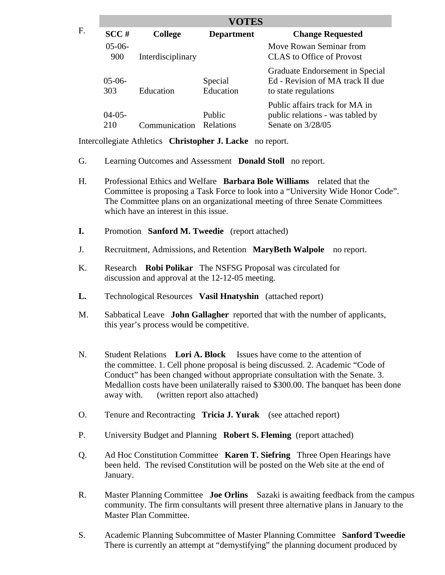| <b>VOTES</b>    |                   |                            |                                                                                             |
|-----------------|-------------------|----------------------------|---------------------------------------------------------------------------------------------|
| SCC#            | <b>College</b>    | <b>Department</b>          | <b>Change Requested</b>                                                                     |
| $05-06-$<br>900 | Interdisciplinary |                            | Move Rowan Seminar from<br>CLAS to Office of Provost                                        |
| $05-06-$<br>303 | Education         | Special<br>Education       | Graduate Endorsement in Special<br>Ed - Revision of MA track II due<br>to state regulations |
| $04-05-$<br>210 | Communication     | Public<br><b>Relations</b> | Public affairs track for MA in<br>public relations - was tabled by<br>Senate on 3/28/05     |

Intercollegiate Athletics **Christopher J. Lacke** no report.

- G. Learning Outcomes and Assessment **Donald Stoll** no report.
- H. Professional Ethics and Welfare **Barbara Bole Williams** related that the Committee is proposing a Task Force to look into a "University Wide Honor Code". The Committee plans on an organizational meeting of three Senate Committees which have an interest in this issue.
- **I.** Promotion **Sanford M. Tweedie** (report attached)
- J. Recruitment, Admissions, and Retention **MaryBeth Walpole** no report.
- K. Research **Robi Polikar** The NSFSG Proposal was circulated for discussion and approval at the 12-12-05 meeting.
- **L.** Technological Resources **Vasil Hnatyshin** (attached report)
- M. Sabbatical Leave **John Gallagher** reported that with the number of applicants, this year's process would be competitive.
- N. Student Relations **Lori A. Block** Issues have come to the attention of the committee. 1. Cell phone proposal is being discussed. 2. Academic "Code of Conduct" has been changed without appropriate consultation with the Senate. 3. Medallion costs have been unilaterally raised to \$300.00. The banquet has been done away with. (written report also attached)
- O. Tenure and Recontracting **Tricia J. Yurak** (see attached report)
- P. University Budget and Planning **Robert S. Fleming** (report attached)
- Q. Ad Hoc Constitution Committee **Karen T. Siefring** Three Open Hearings have been held. The revised Constitution will be posted on the Web site at the end of January.
- R. Master Planning Committee **Joe Orlins** Sazaki is awaiting feedback from the campus community. The firm consultants will present three alternative plans in January to the Master Plan Committee.
- S. Academic Planning Subcommittee of Master Planning Committee **Sanford Tweedie**  There is currently an attempt at "demystifying" the planning document produced by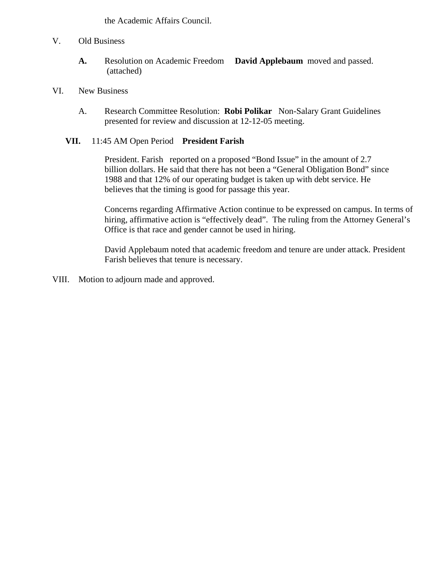the Academic Affairs Council.

- V. Old Business
	- **A.** Resolution on Academic Freedom **David Applebaum** moved and passed. (attached)
- VI. New Business
	- A. Research Committee Resolution: **Robi Polikar** Non-Salary Grant Guidelines presented for review and discussion at 12-12-05 meeting.

### **VII.** 11:45 AM Open Period **President Farish**

 President. Farish reported on a proposed "Bond Issue" in the amount of 2.7 billion dollars. He said that there has not been a "General Obligation Bond" since 1988 and that 12% of our operating budget is taken up with debt service. He believes that the timing is good for passage this year.

 Concerns regarding Affirmative Action continue to be expressed on campus. In terms of hiring, affirmative action is "effectively dead". The ruling from the Attorney General's Office is that race and gender cannot be used in hiring.

 David Applebaum noted that academic freedom and tenure are under attack. President Farish believes that tenure is necessary.

VIII. Motion to adjourn made and approved.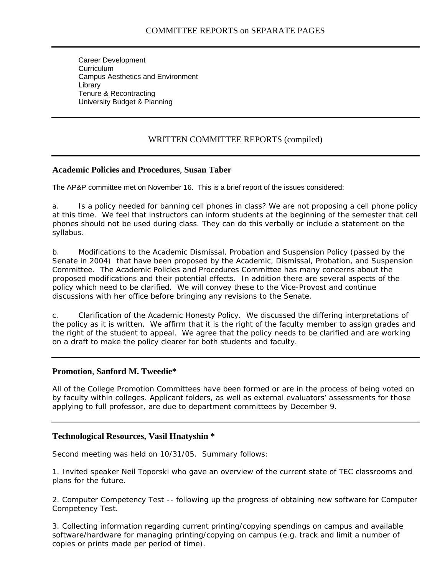Career Development **Curriculum** Campus Aesthetics and Environment Library Tenure & Recontracting University Budget & Planning

# WRITTEN COMMITTEE REPORTS (compiled)

#### **Academic Policies and Procedures**, **Susan Taber**

The AP&P committee met on November 16. This is a brief report of the issues considered:

a. Is a policy needed for banning cell phones in class? We are not proposing a cell phone policy at this time. We feel that instructors can inform students at the beginning of the semester that cell phones should not be used during class. They can do this verbally or include a statement on the syllabus.

b. Modifications to the Academic Dismissal, Probation and Suspension Policy (passed by the Senate in 2004) that have been proposed by the Academic, Dismissal, Probation, and Suspension Committee. The Academic Policies and Procedures Committee has many concerns about the proposed modifications and their potential effects. In addition there are several aspects of the policy which need to be clarified. We will convey these to the Vice-Provost and continue discussions with her office before bringing any revisions to the Senate.

c. Clarification of the Academic Honesty Policy. We discussed the differing interpretations of the policy as it is written. We affirm that it is the right of the faculty member to assign grades and the right of the student to appeal. We agree that the policy needs to be clarified and are working on a draft to make the policy clearer for both students and faculty.

#### **Promotion**, **Sanford M. Tweedie\***

All of the College Promotion Committees have been formed or are in the process of being voted on by faculty within colleges. Applicant folders, as well as external evaluators' assessments for those applying to full professor, are due to department committees by December 9.

#### **Technological Resources, Vasil Hnatyshin \***

Second meeting was held on 10/31/05. Summary follows:

1. Invited speaker Neil Toporski who gave an overview of the current state of TEC classrooms and plans for the future.

2. Computer Competency Test -- following up the progress of obtaining new software for Computer Competency Test.

3. Collecting information regarding current printing/copying spendings on campus and available software/hardware for managing printing/copying on campus (e.g. track and limit a number of copies or prints made per period of time).